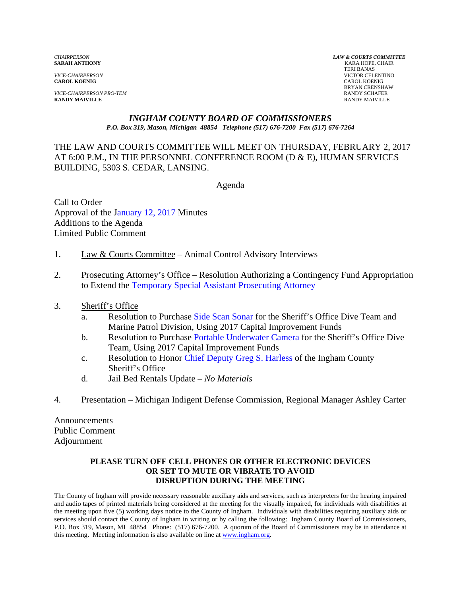**CAROL KOENIG** CAROL KOENIG

*VICE-CHAIRPERSON PRO-TEM* RANDY SCHAFER **RANDY MAIVILLE** RANDY MAIVILLE

*CHAIRPERSON LAW & COURTS COMMITTEE* **KARA HOPE, CHAIR**  TERI BANAS *VICE-CHAIRPERSON* VICTOR CELENTINO BRYAN CRENSHAW

#### *INGHAM COUNTY BOARD OF COMMISSIONERS P.O. Box 319, Mason, Michigan 48854 Telephone (517) 676-7200 Fax (517) 676-7264*

THE LAW AND COURTS COMMITTEE WILL MEET ON THURSDAY, FEBRUARY 2, 2017 AT 6:00 P.M., IN THE PERSONNEL CONFERENCE ROOM (D & E), HUMAN SERVICES BUILDING, 5303 S. CEDAR, LANSING.

Agenda

Call to Order Approval of [the January 12, 2017 Minutes](#page-1-0)  Additions to the Agenda Limited Public Comment

- 1. Law & Courts Committee Animal Control Advisory Interviews
- 2. [Prosecuting Attorney's Office Resolution](#page-7-0) Authorizing a Contingency Fund Appropriation to Extend the Temporary Special Assistant Prosecuting Attorney
- 3. Sheriff's Office
	- a. Resolution to Purch[ase Side Scan Sonar for the S](#page-9-0)heriff's Office Dive Team and Marine Patrol Division, Using 2017 Capital Improvement Funds
	- b. Resolution to Purcha[se Portable Underwater Camera for the Sh](#page-11-0)eriff's Office Dive Team, Using 2017 Capital Improvement Funds
	- c. Resolution to Hon[or Chief Deputy Greg S. Harless of the Ingham](#page-13-0) County Sheriff's Office
	- d. Jail Bed Rentals Update *No Materials*
- 4. Presentation Michigan Indigent Defense Commission, Regional Manager Ashley Carter

Announcements Public Comment Adjournment

#### **PLEASE TURN OFF CELL PHONES OR OTHER ELECTRONIC DEVICES OR SET TO MUTE OR VIBRATE TO AVOID DISRUPTION DURING THE MEETING**

The County of Ingham will provide necessary reasonable auxiliary aids and services, such as interpreters for the hearing impaired and audio tapes of printed materials being considered at the meeting for the visually impaired, for individuals with disabilities at the meeting upon five (5) working days notice to the County of Ingham. Individuals with disabilities requiring auxiliary aids or services should contact the County of Ingham in writing or by calling the following: Ingham County Board of Commissioners, P.O. Box 319, Mason, MI 48854 Phone: (517) 676-7200. A quorum of the Board of Commissioners may be in attendance at this meeting. Meeting information is also available on line at www.ingham.org.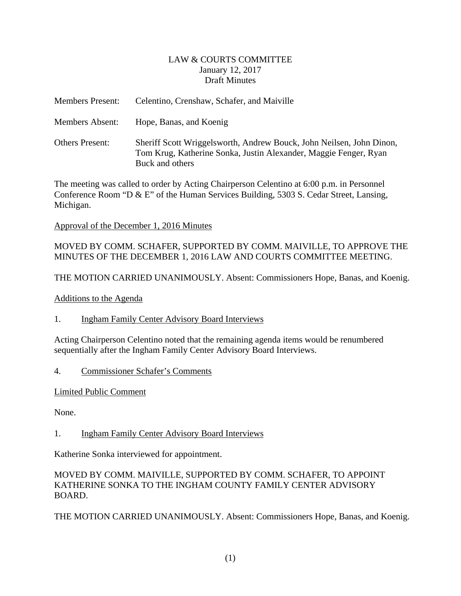#### LAW & COURTS COMMITTEE January 12, 2017 Draft Minutes

<span id="page-1-0"></span>

| <b>Members Present:</b> | Celentino, Crenshaw, Schafer, and Maiville                                                                                                                  |
|-------------------------|-------------------------------------------------------------------------------------------------------------------------------------------------------------|
| Members Absent:         | Hope, Banas, and Koenig                                                                                                                                     |
| <b>Others Present:</b>  | Sheriff Scott Wriggelsworth, Andrew Bouck, John Neilsen, John Dinon,<br>Tom Krug, Katherine Sonka, Justin Alexander, Maggie Fenger, Ryan<br>Buck and others |

The meeting was called to order by Acting Chairperson Celentino at 6:00 p.m. in Personnel Conference Room "D & E" of the Human Services Building, 5303 S. Cedar Street, Lansing, Michigan.

Approval of the December 1, 2016 Minutes

MOVED BY COMM. SCHAFER, SUPPORTED BY COMM. MAIVILLE, TO APPROVE THE MINUTES OF THE DECEMBER 1, 2016 LAW AND COURTS COMMITTEE MEETING.

THE MOTION CARRIED UNANIMOUSLY. Absent: Commissioners Hope, Banas, and Koenig.

Additions to the Agenda

1. Ingham Family Center Advisory Board Interviews

Acting Chairperson Celentino noted that the remaining agenda items would be renumbered sequentially after the Ingham Family Center Advisory Board Interviews.

4. Commissioner Schafer's Comments

Limited Public Comment

None.

1. Ingham Family Center Advisory Board Interviews

Katherine Sonka interviewed for appointment.

#### MOVED BY COMM. MAIVILLE, SUPPORTED BY COMM. SCHAFER, TO APPOINT KATHERINE SONKA TO THE INGHAM COUNTY FAMILY CENTER ADVISORY BOARD.

THE MOTION CARRIED UNANIMOUSLY. Absent: Commissioners Hope, Banas, and Koenig.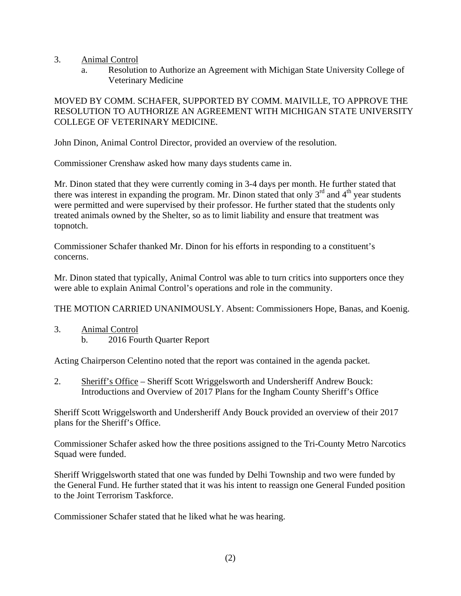- 3. Animal Control
	- a. Resolution to Authorize an Agreement with Michigan State University College of Veterinary Medicine

#### MOVED BY COMM. SCHAFER, SUPPORTED BY COMM. MAIVILLE, TO APPROVE THE RESOLUTION TO AUTHORIZE AN AGREEMENT WITH MICHIGAN STATE UNIVERSITY COLLEGE OF VETERINARY MEDICINE.

John Dinon, Animal Control Director, provided an overview of the resolution.

Commissioner Crenshaw asked how many days students came in.

Mr. Dinon stated that they were currently coming in 3-4 days per month. He further stated that there was interest in expanding the program. Mr. Dinon stated that only  $3<sup>rd</sup>$  and  $4<sup>th</sup>$  year students were permitted and were supervised by their professor. He further stated that the students only treated animals owned by the Shelter, so as to limit liability and ensure that treatment was topnotch.

Commissioner Schafer thanked Mr. Dinon for his efforts in responding to a constituent's concerns.

Mr. Dinon stated that typically, Animal Control was able to turn critics into supporters once they were able to explain Animal Control's operations and role in the community.

THE MOTION CARRIED UNANIMOUSLY. Absent: Commissioners Hope, Banas, and Koenig.

3. Animal Control b. 2016 Fourth Quarter Report

Acting Chairperson Celentino noted that the report was contained in the agenda packet.

2. Sheriff's Office – Sheriff Scott Wriggelsworth and Undersheriff Andrew Bouck: Introductions and Overview of 2017 Plans for the Ingham County Sheriff's Office

Sheriff Scott Wriggelsworth and Undersheriff Andy Bouck provided an overview of their 2017 plans for the Sheriff's Office.

Commissioner Schafer asked how the three positions assigned to the Tri-County Metro Narcotics Squad were funded.

Sheriff Wriggelsworth stated that one was funded by Delhi Township and two were funded by the General Fund. He further stated that it was his intent to reassign one General Funded position to the Joint Terrorism Taskforce.

Commissioner Schafer stated that he liked what he was hearing.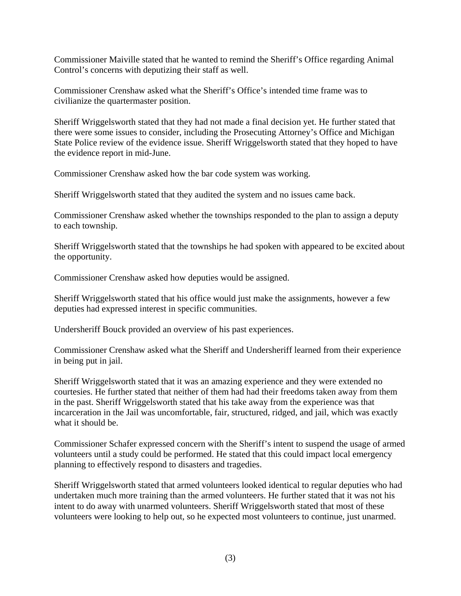Commissioner Maiville stated that he wanted to remind the Sheriff's Office regarding Animal Control's concerns with deputizing their staff as well.

Commissioner Crenshaw asked what the Sheriff's Office's intended time frame was to civilianize the quartermaster position.

Sheriff Wriggelsworth stated that they had not made a final decision yet. He further stated that there were some issues to consider, including the Prosecuting Attorney's Office and Michigan State Police review of the evidence issue. Sheriff Wriggelsworth stated that they hoped to have the evidence report in mid-June.

Commissioner Crenshaw asked how the bar code system was working.

Sheriff Wriggelsworth stated that they audited the system and no issues came back.

Commissioner Crenshaw asked whether the townships responded to the plan to assign a deputy to each township.

Sheriff Wriggelsworth stated that the townships he had spoken with appeared to be excited about the opportunity.

Commissioner Crenshaw asked how deputies would be assigned.

Sheriff Wriggelsworth stated that his office would just make the assignments, however a few deputies had expressed interest in specific communities.

Undersheriff Bouck provided an overview of his past experiences.

Commissioner Crenshaw asked what the Sheriff and Undersheriff learned from their experience in being put in jail.

Sheriff Wriggelsworth stated that it was an amazing experience and they were extended no courtesies. He further stated that neither of them had had their freedoms taken away from them in the past. Sheriff Wriggelsworth stated that his take away from the experience was that incarceration in the Jail was uncomfortable, fair, structured, ridged, and jail, which was exactly what it should be.

Commissioner Schafer expressed concern with the Sheriff's intent to suspend the usage of armed volunteers until a study could be performed. He stated that this could impact local emergency planning to effectively respond to disasters and tragedies.

Sheriff Wriggelsworth stated that armed volunteers looked identical to regular deputies who had undertaken much more training than the armed volunteers. He further stated that it was not his intent to do away with unarmed volunteers. Sheriff Wriggelsworth stated that most of these volunteers were looking to help out, so he expected most volunteers to continue, just unarmed.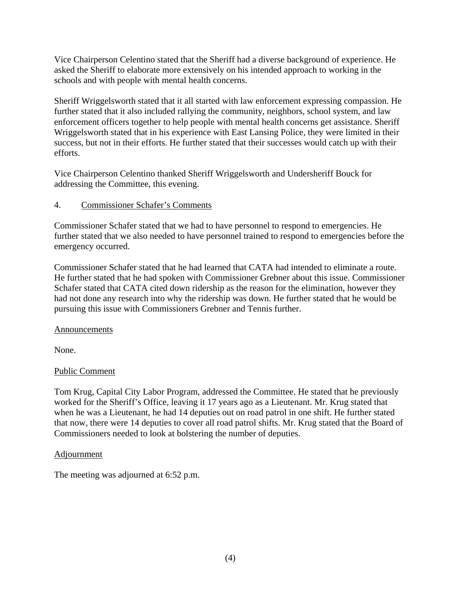Vice Chairperson Celentino stated that the Sheriff had a diverse background of experience. He asked the Sheriff to elaborate more extensively on his intended approach to working in the schools and with people with mental health concerns.

Sheriff Wriggelsworth stated that it all started with law enforcement expressing compassion. He further stated that it also included rallying the community, neighbors, school system, and law enforcement officers together to help people with mental health concerns get assistance. Sheriff Wriggelsworth stated that in his experience with East Lansing Police, they were limited in their success, but not in their efforts. He further stated that their successes would catch up with their efforts.

Vice Chairperson Celentino thanked Sheriff Wriggelsworth and Undersheriff Bouck for addressing the Committee, this evening.

#### 4. Commissioner Schafer's Comments

Commissioner Schafer stated that we had to have personnel to respond to emergencies. He further stated that we also needed to have personnel trained to respond to emergencies before the emergency occurred.

Commissioner Schafer stated that he had learned that CATA had intended to eliminate a route. He further stated that he had spoken with Commissioner Grebner about this issue. Commissioner Schafer stated that CATA cited down ridership as the reason for the elimination, however they had not done any research into why the ridership was down. He further stated that he would be pursuing this issue with Commissioners Grebner and Tennis further.

#### **Announcements**

None.

# Public Comment

Tom Krug, Capital City Labor Program, addressed the Committee. He stated that he previously worked for the Sheriff's Office, leaving it 17 years ago as a Lieutenant. Mr. Krug stated that when he was a Lieutenant, he had 14 deputies out on road patrol in one shift. He further stated that now, there were 14 deputies to cover all road patrol shifts. Mr. Krug stated that the Board of Commissioners needed to look at bolstering the number of deputies.

#### Adjournment

The meeting was adjourned at 6:52 p.m.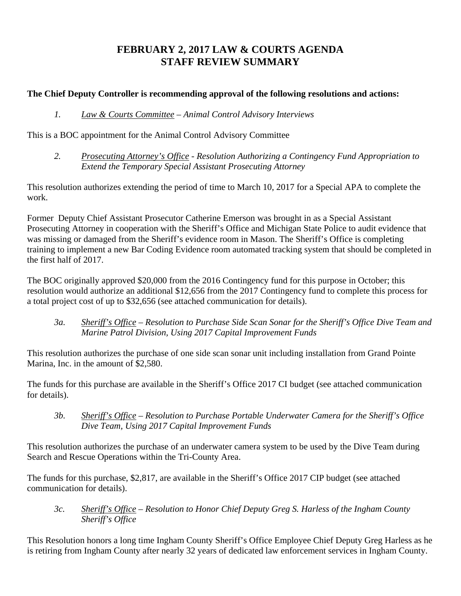# **FEBRUARY 2, 2017 LAW & COURTS AGENDA STAFF REVIEW SUMMARY**

# **The Chief Deputy Controller is recommending approval of the following resolutions and actions:**

#### *1. Law & Courts Committee – Animal Control Advisory Interviews*

This is a BOC appointment for the Animal Control Advisory Committee

 *2. Prosecuting Attorney's Office - Resolution Authorizing a Contingency Fund Appropriation to Extend the Temporary Special Assistant Prosecuting Attorney* 

This resolution authorizes extending the period of time to March 10, 2017 for a Special APA to complete the work.

Former Deputy Chief Assistant Prosecutor Catherine Emerson was brought in as a Special Assistant Prosecuting Attorney in cooperation with the Sheriff's Office and Michigan State Police to audit evidence that was missing or damaged from the Sheriff's evidence room in Mason. The Sheriff's Office is completing training to implement a new Bar Coding Evidence room automated tracking system that should be completed in the first half of 2017.

The BOC originally approved \$20,000 from the 2016 Contingency fund for this purpose in October; this resolution would authorize an additional \$12,656 from the 2017 Contingency fund to complete this process for a total project cost of up to \$32,656 (see attached communication for details).

 *3a. Sheriff's Office – Resolution to Purchase Side Scan Sonar for the Sheriff's Office Dive Team and Marine Patrol Division, Using 2017 Capital Improvement Funds* 

This resolution authorizes the purchase of one side scan sonar unit including installation from Grand Pointe Marina, Inc. in the amount of \$2,580.

The funds for this purchase are available in the Sheriff's Office 2017 CI budget (see attached communication for details).

*3b. Sheriff's Office – Resolution to Purchase Portable Underwater Camera for the Sheriff's Office Dive Team, Using 2017 Capital Improvement Funds*

This resolution authorizes the purchase of an underwater camera system to be used by the Dive Team during Search and Rescue Operations within the Tri-County Area.

The funds for this purchase, \$2,817, are available in the Sheriff's Office 2017 CIP budget (see attached communication for details).

 *3c. Sheriff's Office – Resolution to Honor Chief Deputy Greg S. Harless of the Ingham County Sheriff's Office* 

This Resolution honors a long time Ingham County Sheriff's Office Employee Chief Deputy Greg Harless as he is retiring from Ingham County after nearly 32 years of dedicated law enforcement services in Ingham County.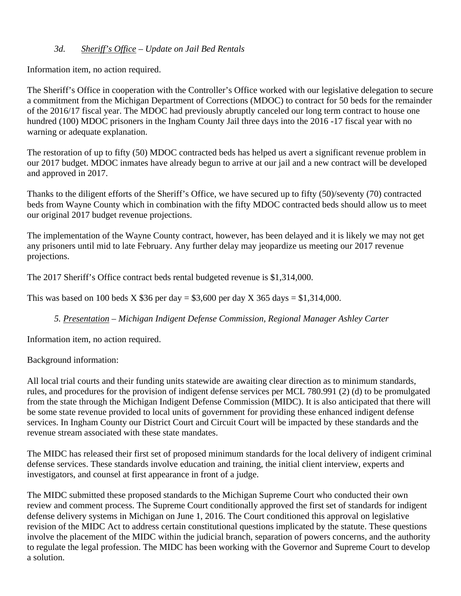#### *3d. Sheriff's Office – Update on Jail Bed Rentals*

Information item, no action required.

The Sheriff's Office in cooperation with the Controller's Office worked with our legislative delegation to secure a commitment from the Michigan Department of Corrections (MDOC) to contract for 50 beds for the remainder of the 2016/17 fiscal year. The MDOC had previously abruptly canceled our long term contract to house one hundred (100) MDOC prisoners in the Ingham County Jail three days into the 2016 -17 fiscal year with no warning or adequate explanation.

The restoration of up to fifty (50) MDOC contracted beds has helped us avert a significant revenue problem in our 2017 budget. MDOC inmates have already begun to arrive at our jail and a new contract will be developed and approved in 2017.

Thanks to the diligent efforts of the Sheriff's Office, we have secured up to fifty (50)/seventy (70) contracted beds from Wayne County which in combination with the fifty MDOC contracted beds should allow us to meet our original 2017 budget revenue projections.

The implementation of the Wayne County contract, however, has been delayed and it is likely we may not get any prisoners until mid to late February. Any further delay may jeopardize us meeting our 2017 revenue projections.

The 2017 Sheriff's Office contract beds rental budgeted revenue is \$1,314,000.

This was based on 100 beds X \$36 per day = \$3,600 per day X 365 days = \$1,314,000.

 *5. Presentation – Michigan Indigent Defense Commission, Regional Manager Ashley Carter* 

Information item, no action required.

Background information:

All local trial courts and their funding units statewide are awaiting clear direction as to minimum standards, rules, and procedures for the provision of indigent defense services per MCL 780.991 (2) (d) to be promulgated from the state through the Michigan Indigent Defense Commission (MIDC). It is also anticipated that there will be some state revenue provided to local units of government for providing these enhanced indigent defense services. In Ingham County our District Court and Circuit Court will be impacted by these standards and the revenue stream associated with these state mandates.

The MIDC has released their first set of proposed minimum standards for the local delivery of indigent criminal defense services. These standards involve education and training, the initial client interview, experts and investigators, and counsel at first appearance in front of a judge.

The MIDC submitted these proposed standards to the Michigan Supreme Court who conducted their own review and comment process. The Supreme Court conditionally approved the first set of standards for indigent defense delivery systems in Michigan on June 1, 2016. The Court conditioned this approval on legislative revision of the MIDC Act to address certain constitutional questions implicated by the statute. These questions involve the placement of the MIDC within the judicial branch, separation of powers concerns, and the authority to regulate the legal profession. The MIDC has been working with the Governor and Supreme Court to develop a solution.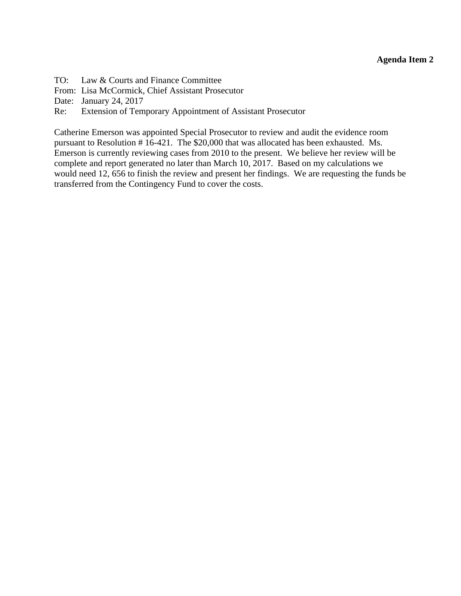<span id="page-7-0"></span>TO: Law & Courts and Finance Committee

From: Lisa McCormick, Chief Assistant Prosecutor

Date: January 24, 2017

Re: Extension of Temporary Appointment of Assistant Prosecutor

Catherine Emerson was appointed Special Prosecutor to review and audit the evidence room pursuant to Resolution # 16-421. The \$20,000 that was allocated has been exhausted. Ms. Emerson is currently reviewing cases from 2010 to the present. We believe her review will be complete and report generated no later than March 10, 2017. Based on my calculations we would need 12, 656 to finish the review and present her findings. We are requesting the funds be transferred from the Contingency Fund to cover the costs.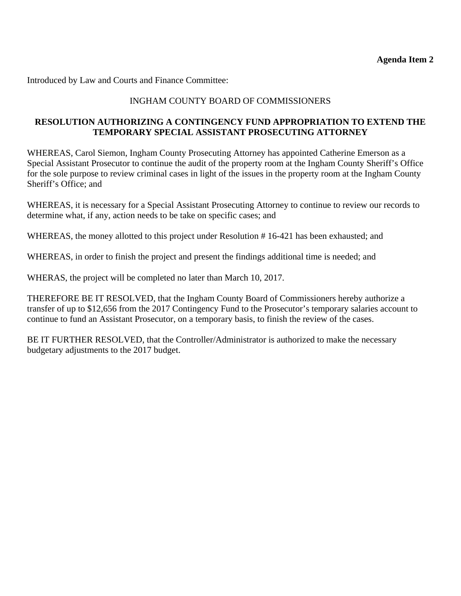Introduced by Law and Courts and Finance Committee:

### INGHAM COUNTY BOARD OF COMMISSIONERS

#### **RESOLUTION AUTHORIZING A CONTINGENCY FUND APPROPRIATION TO EXTEND THE TEMPORARY SPECIAL ASSISTANT PROSECUTING ATTORNEY**

WHEREAS, Carol Siemon, Ingham County Prosecuting Attorney has appointed Catherine Emerson as a Special Assistant Prosecutor to continue the audit of the property room at the Ingham County Sheriff's Office for the sole purpose to review criminal cases in light of the issues in the property room at the Ingham County Sheriff's Office; and

WHEREAS, it is necessary for a Special Assistant Prosecuting Attorney to continue to review our records to determine what, if any, action needs to be take on specific cases; and

WHEREAS, the money allotted to this project under Resolution # 16-421 has been exhausted; and

WHEREAS, in order to finish the project and present the findings additional time is needed; and

WHERAS, the project will be completed no later than March 10, 2017.

THEREFORE BE IT RESOLVED, that the Ingham County Board of Commissioners hereby authorize a transfer of up to \$12,656 from the 2017 Contingency Fund to the Prosecutor's temporary salaries account to continue to fund an Assistant Prosecutor, on a temporary basis, to finish the review of the cases.

BE IT FURTHER RESOLVED, that the Controller/Administrator is authorized to make the necessary budgetary adjustments to the 2017 budget.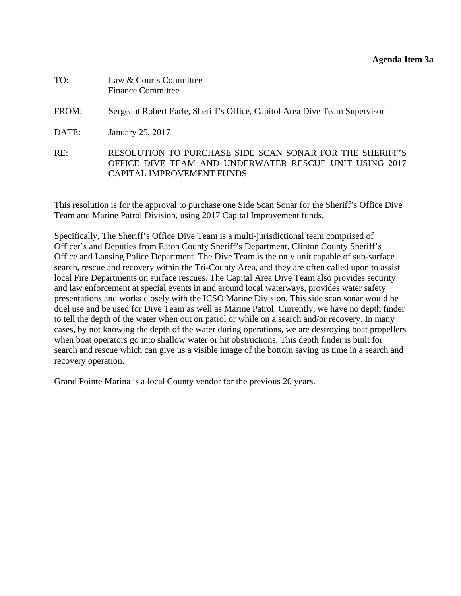<span id="page-9-0"></span>

| TO:   | Law & Courts Committee<br><b>Finance Committee</b>                                                                                               |
|-------|--------------------------------------------------------------------------------------------------------------------------------------------------|
| FROM: | Sergeant Robert Earle, Sheriff's Office, Capitol Area Dive Team Supervisor                                                                       |
| DATE: | January 25, 2017                                                                                                                                 |
| RE:   | RESOLUTION TO PURCHASE SIDE SCAN SONAR FOR THE SHERIFF'S<br>OFFICE DIVE TEAM AND UNDERWATER RESCUE UNIT USING 2017<br>CAPITAL IMPROVEMENT FUNDS. |

This resolution is for the approval to purchase one Side Scan Sonar for the Sheriff's Office Dive Team and Marine Patrol Division, using 2017 Capital Improvement funds.

Specifically, The Sheriff's Office Dive Team is a multi-jurisdictional team comprised of Officer's and Deputies from Eaton County Sheriff's Department, Clinton County Sheriff's Office and Lansing Police Department. The Dive Team is the only unit capable of sub-surface search, rescue and recovery within the Tri-County Area, and they are often called upon to assist local Fire Departments on surface rescues. The Capital Area Dive Team also provides security and law enforcement at special events in and around local waterways, provides water safety presentations and works closely with the ICSO Marine Division. This side scan sonar would be duel use and be used for Dive Team as well as Marine Patrol. Currently, we have no depth finder to tell the depth of the water when out on patrol or while on a search and/or recovery. In many cases, by not knowing the depth of the water during operations, we are destroying boat propellers when boat operators go into shallow water or hit obstructions. This depth finder is built for search and rescue which can give us a visible image of the bottom saving us time in a search and recovery operation.

Grand Pointe Marina is a local County vendor for the previous 20 years.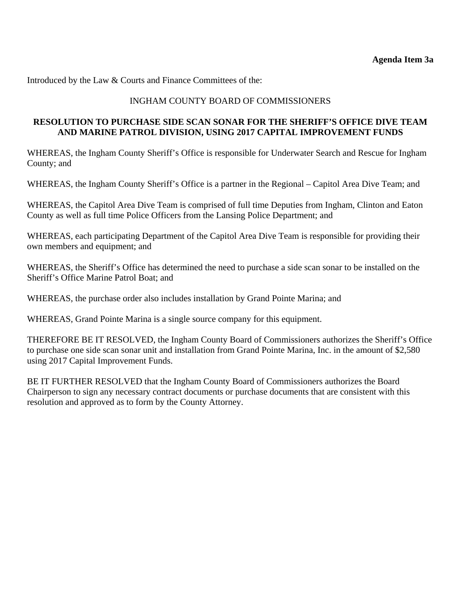Introduced by the Law & Courts and Finance Committees of the:

#### INGHAM COUNTY BOARD OF COMMISSIONERS

#### **RESOLUTION TO PURCHASE SIDE SCAN SONAR FOR THE SHERIFF'S OFFICE DIVE TEAM AND MARINE PATROL DIVISION, USING 2017 CAPITAL IMPROVEMENT FUNDS**

WHEREAS, the Ingham County Sheriff's Office is responsible for Underwater Search and Rescue for Ingham County; and

WHEREAS, the Ingham County Sheriff's Office is a partner in the Regional – Capitol Area Dive Team; and

WHEREAS, the Capitol Area Dive Team is comprised of full time Deputies from Ingham, Clinton and Eaton County as well as full time Police Officers from the Lansing Police Department; and

WHEREAS, each participating Department of the Capitol Area Dive Team is responsible for providing their own members and equipment; and

WHEREAS, the Sheriff's Office has determined the need to purchase a side scan sonar to be installed on the Sheriff's Office Marine Patrol Boat; and

WHEREAS, the purchase order also includes installation by Grand Pointe Marina; and

WHEREAS, Grand Pointe Marina is a single source company for this equipment.

THEREFORE BE IT RESOLVED, the Ingham County Board of Commissioners authorizes the Sheriff's Office to purchase one side scan sonar unit and installation from Grand Pointe Marina, Inc. in the amount of \$2,580 using 2017 Capital Improvement Funds.

BE IT FURTHER RESOLVED that the Ingham County Board of Commissioners authorizes the Board Chairperson to sign any necessary contract documents or purchase documents that are consistent with this resolution and approved as to form by the County Attorney.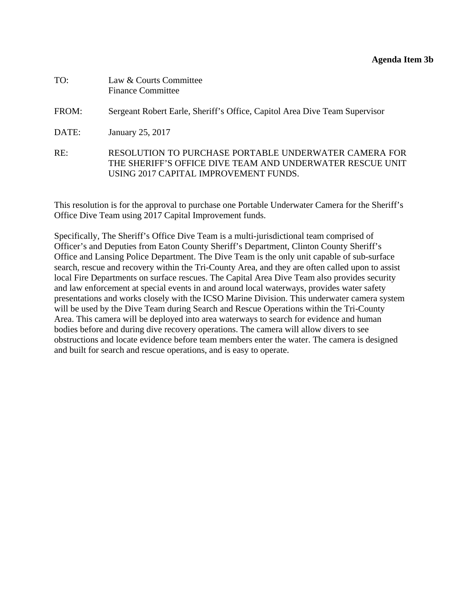<span id="page-11-0"></span>

| TO:   | Law & Courts Committee<br><b>Finance Committee</b>                                                                                                          |
|-------|-------------------------------------------------------------------------------------------------------------------------------------------------------------|
| FROM: | Sergeant Robert Earle, Sheriff's Office, Capitol Area Dive Team Supervisor                                                                                  |
| DATE: | January 25, 2017                                                                                                                                            |
| RE:   | RESOLUTION TO PURCHASE PORTABLE UNDERWATER CAMERA FOR<br>THE SHERIFF'S OFFICE DIVE TEAM AND UNDERWATER RESCUE UNIT<br>USING 2017 CAPITAL IMPROVEMENT FUNDS. |

This resolution is for the approval to purchase one Portable Underwater Camera for the Sheriff's Office Dive Team using 2017 Capital Improvement funds.

Specifically, The Sheriff's Office Dive Team is a multi-jurisdictional team comprised of Officer's and Deputies from Eaton County Sheriff's Department, Clinton County Sheriff's Office and Lansing Police Department. The Dive Team is the only unit capable of sub-surface search, rescue and recovery within the Tri-County Area, and they are often called upon to assist local Fire Departments on surface rescues. The Capital Area Dive Team also provides security and law enforcement at special events in and around local waterways, provides water safety presentations and works closely with the ICSO Marine Division. This underwater camera system will be used by the Dive Team during Search and Rescue Operations within the Tri-County Area. This camera will be deployed into area waterways to search for evidence and human bodies before and during dive recovery operations. The camera will allow divers to see obstructions and locate evidence before team members enter the water. The camera is designed and built for search and rescue operations, and is easy to operate.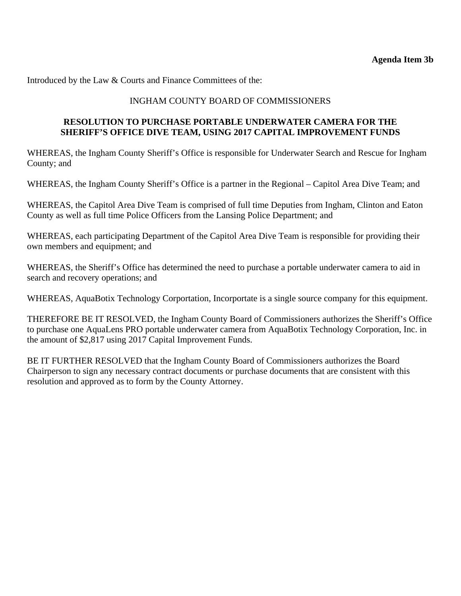Introduced by the Law & Courts and Finance Committees of the:

#### INGHAM COUNTY BOARD OF COMMISSIONERS

#### **RESOLUTION TO PURCHASE PORTABLE UNDERWATER CAMERA FOR THE SHERIFF'S OFFICE DIVE TEAM, USING 2017 CAPITAL IMPROVEMENT FUNDS**

WHEREAS, the Ingham County Sheriff's Office is responsible for Underwater Search and Rescue for Ingham County; and

WHEREAS, the Ingham County Sheriff's Office is a partner in the Regional – Capitol Area Dive Team; and

WHEREAS, the Capitol Area Dive Team is comprised of full time Deputies from Ingham, Clinton and Eaton County as well as full time Police Officers from the Lansing Police Department; and

WHEREAS, each participating Department of the Capitol Area Dive Team is responsible for providing their own members and equipment; and

WHEREAS, the Sheriff's Office has determined the need to purchase a portable underwater camera to aid in search and recovery operations; and

WHEREAS, AquaBotix Technology Corportation, Incorportate is a single source company for this equipment.

THEREFORE BE IT RESOLVED, the Ingham County Board of Commissioners authorizes the Sheriff's Office to purchase one AquaLens PRO portable underwater camera from AquaBotix Technology Corporation, Inc. in the amount of \$2,817 using 2017 Capital Improvement Funds.

BE IT FURTHER RESOLVED that the Ingham County Board of Commissioners authorizes the Board Chairperson to sign any necessary contract documents or purchase documents that are consistent with this resolution and approved as to form by the County Attorney.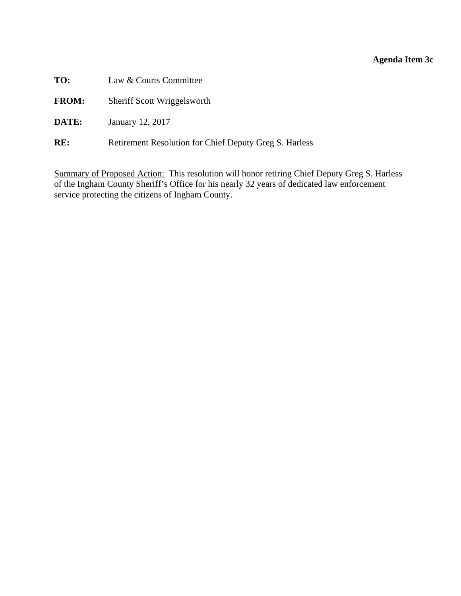# **Agenda Item 3c**

<span id="page-13-0"></span>

| TO:          | Law & Courts Committee                                 |
|--------------|--------------------------------------------------------|
| <b>FROM:</b> | Sheriff Scott Wriggelsworth                            |
| <b>DATE:</b> | January 12, 2017                                       |
| RE:          | Retirement Resolution for Chief Deputy Greg S. Harless |

Summary of Proposed Action: This resolution will honor retiring Chief Deputy Greg S. Harless of the Ingham County Sheriff's Office for his nearly 32 years of dedicated law enforcement service protecting the citizens of Ingham County.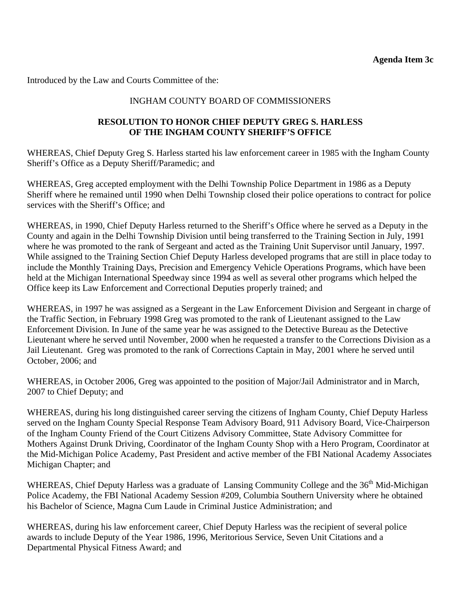Introduced by the Law and Courts Committee of the:

#### INGHAM COUNTY BOARD OF COMMISSIONERS

#### **RESOLUTION TO HONOR CHIEF DEPUTY GREG S. HARLESS OF THE INGHAM COUNTY SHERIFF'S OFFICE**

WHEREAS, Chief Deputy Greg S. Harless started his law enforcement career in 1985 with the Ingham County Sheriff's Office as a Deputy Sheriff/Paramedic; and

WHEREAS, Greg accepted employment with the Delhi Township Police Department in 1986 as a Deputy Sheriff where he remained until 1990 when Delhi Township closed their police operations to contract for police services with the Sheriff's Office; and

WHEREAS, in 1990, Chief Deputy Harless returned to the Sheriff's Office where he served as a Deputy in the County and again in the Delhi Township Division until being transferred to the Training Section in July, 1991 where he was promoted to the rank of Sergeant and acted as the Training Unit Supervisor until January, 1997. While assigned to the Training Section Chief Deputy Harless developed programs that are still in place today to include the Monthly Training Days, Precision and Emergency Vehicle Operations Programs, which have been held at the Michigan International Speedway since 1994 as well as several other programs which helped the Office keep its Law Enforcement and Correctional Deputies properly trained; and

WHEREAS, in 1997 he was assigned as a Sergeant in the Law Enforcement Division and Sergeant in charge of the Traffic Section, in February 1998 Greg was promoted to the rank of Lieutenant assigned to the Law Enforcement Division. In June of the same year he was assigned to the Detective Bureau as the Detective Lieutenant where he served until November, 2000 when he requested a transfer to the Corrections Division as a Jail Lieutenant. Greg was promoted to the rank of Corrections Captain in May, 2001 where he served until October, 2006; and

WHEREAS, in October 2006, Greg was appointed to the position of Major/Jail Administrator and in March, 2007 to Chief Deputy; and

WHEREAS, during his long distinguished career serving the citizens of Ingham County, Chief Deputy Harless served on the Ingham County Special Response Team Advisory Board, 911 Advisory Board, Vice-Chairperson of the Ingham County Friend of the Court Citizens Advisory Committee, State Advisory Committee for Mothers Against Drunk Driving, Coordinator of the Ingham County Shop with a Hero Program, Coordinator at the Mid-Michigan Police Academy, Past President and active member of the FBI National Academy Associates Michigan Chapter; and

WHEREAS, Chief Deputy Harless was a graduate of Lansing Community College and the 36<sup>th</sup> Mid-Michigan Police Academy, the FBI National Academy Session #209, Columbia Southern University where he obtained his Bachelor of Science, Magna Cum Laude in Criminal Justice Administration; and

WHEREAS, during his law enforcement career, Chief Deputy Harless was the recipient of several police awards to include Deputy of the Year 1986, 1996, Meritorious Service, Seven Unit Citations and a Departmental Physical Fitness Award; and